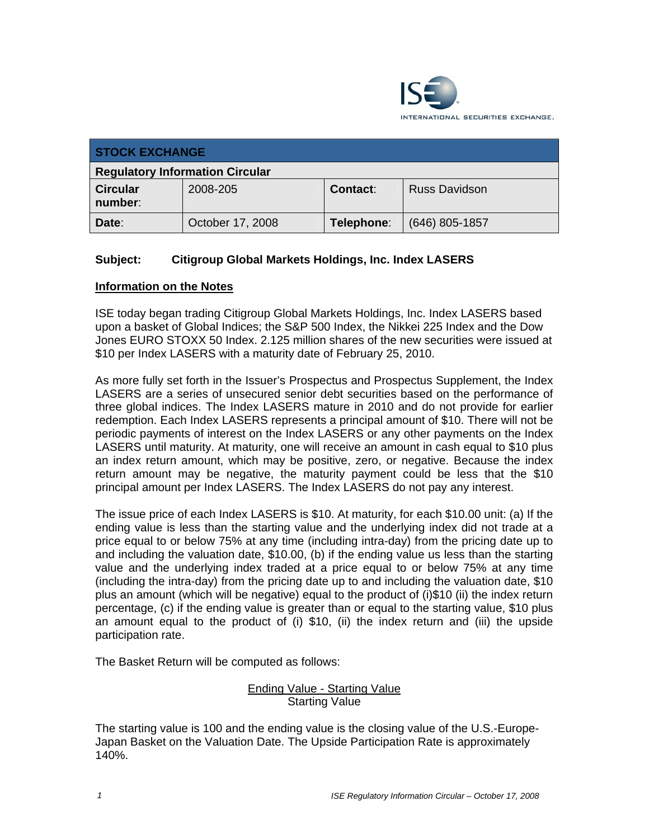

| <b>STOCK EXCHANGE</b>                  |                  |                 |                      |  |  |
|----------------------------------------|------------------|-----------------|----------------------|--|--|
| <b>Regulatory Information Circular</b> |                  |                 |                      |  |  |
| <b>Circular</b><br>number:             | 2008-205         | <b>Contact:</b> | <b>Russ Davidson</b> |  |  |
| Date:                                  | October 17, 2008 | Telephone:      | $(646)$ 805-1857     |  |  |

## **Subject: Citigroup Global Markets Holdings, Inc. Index LASERS**

## **Information on the Notes**

ISE today began trading Citigroup Global Markets Holdings, Inc. Index LASERS based upon a basket of Global Indices; the S&P 500 Index, the Nikkei 225 Index and the Dow Jones EURO STOXX 50 Index. 2.125 million shares of the new securities were issued at \$10 per Index LASERS with a maturity date of February 25, 2010.

As more fully set forth in the Issuer's Prospectus and Prospectus Supplement, the Index LASERS are a series of unsecured senior debt securities based on the performance of three global indices. The Index LASERS mature in 2010 and do not provide for earlier redemption. Each Index LASERS represents a principal amount of \$10. There will not be periodic payments of interest on the Index LASERS or any other payments on the Index LASERS until maturity. At maturity, one will receive an amount in cash equal to \$10 plus an index return amount, which may be positive, zero, or negative. Because the index return amount may be negative, the maturity payment could be less that the \$10 principal amount per Index LASERS. The Index LASERS do not pay any interest.

The issue price of each Index LASERS is \$10. At maturity, for each \$10.00 unit: (a) If the ending value is less than the starting value and the underlying index did not trade at a price equal to or below 75% at any time (including intra-day) from the pricing date up to and including the valuation date, \$10.00, (b) if the ending value us less than the starting value and the underlying index traded at a price equal to or below 75% at any time (including the intra-day) from the pricing date up to and including the valuation date, \$10 plus an amount (which will be negative) equal to the product of (i)\$10 (ii) the index return percentage, (c) if the ending value is greater than or equal to the starting value, \$10 plus an amount equal to the product of (i) \$10, (ii) the index return and (iii) the upside participation rate.

The Basket Return will be computed as follows:

## Ending Value - Starting Value Starting Value

The starting value is 100 and the ending value is the closing value of the U.S.-Europe-Japan Basket on the Valuation Date. The Upside Participation Rate is approximately 140%.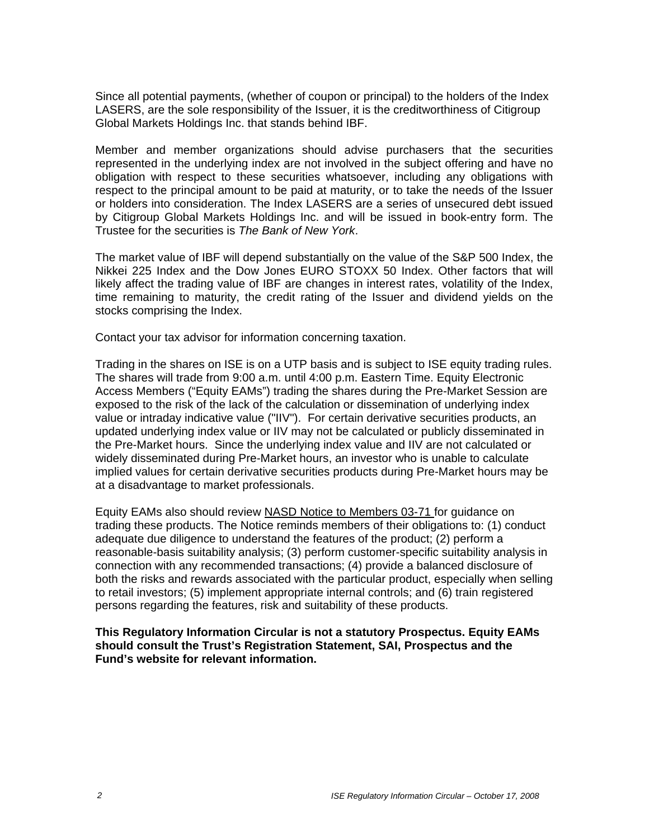Since all potential payments, (whether of coupon or principal) to the holders of the Index LASERS, are the sole responsibility of the Issuer, it is the creditworthiness of Citigroup Global Markets Holdings Inc. that stands behind IBF.

Member and member organizations should advise purchasers that the securities represented in the underlying index are not involved in the subject offering and have no obligation with respect to these securities whatsoever, including any obligations with respect to the principal amount to be paid at maturity, or to take the needs of the Issuer or holders into consideration. The Index LASERS are a series of unsecured debt issued by Citigroup Global Markets Holdings Inc. and will be issued in book-entry form. The Trustee for the securities is *The Bank of New York*.

The market value of IBF will depend substantially on the value of the S&P 500 Index, the Nikkei 225 Index and the Dow Jones EURO STOXX 50 Index. Other factors that will likely affect the trading value of IBF are changes in interest rates, volatility of the Index, time remaining to maturity, the credit rating of the Issuer and dividend yields on the stocks comprising the Index.

Contact your tax advisor for information concerning taxation.

Trading in the shares on ISE is on a UTP basis and is subject to ISE equity trading rules. The shares will trade from 9:00 a.m. until 4:00 p.m. Eastern Time. Equity Electronic Access Members ("Equity EAMs") trading the shares during the Pre-Market Session are exposed to the risk of the lack of the calculation or dissemination of underlying index value or intraday indicative value ("IIV"). For certain derivative securities products, an updated underlying index value or IIV may not be calculated or publicly disseminated in the Pre-Market hours. Since the underlying index value and IIV are not calculated or widely disseminated during Pre-Market hours, an investor who is unable to calculate implied values for certain derivative securities products during Pre-Market hours may be at a disadvantage to market professionals.

Equity EAMs also should review NASD Notice to Members 03-71 for guidance on trading these products. The Notice reminds members of their obligations to: (1) conduct adequate due diligence to understand the features of the product; (2) perform a reasonable-basis suitability analysis; (3) perform customer-specific suitability analysis in connection with any recommended transactions; (4) provide a balanced disclosure of both the risks and rewards associated with the particular product, especially when selling to retail investors; (5) implement appropriate internal controls; and (6) train registered persons regarding the features, risk and suitability of these products.

**This Regulatory Information Circular is not a statutory Prospectus. Equity EAMs should consult the Trust's Registration Statement, SAI, Prospectus and the Fund's website for relevant information.**